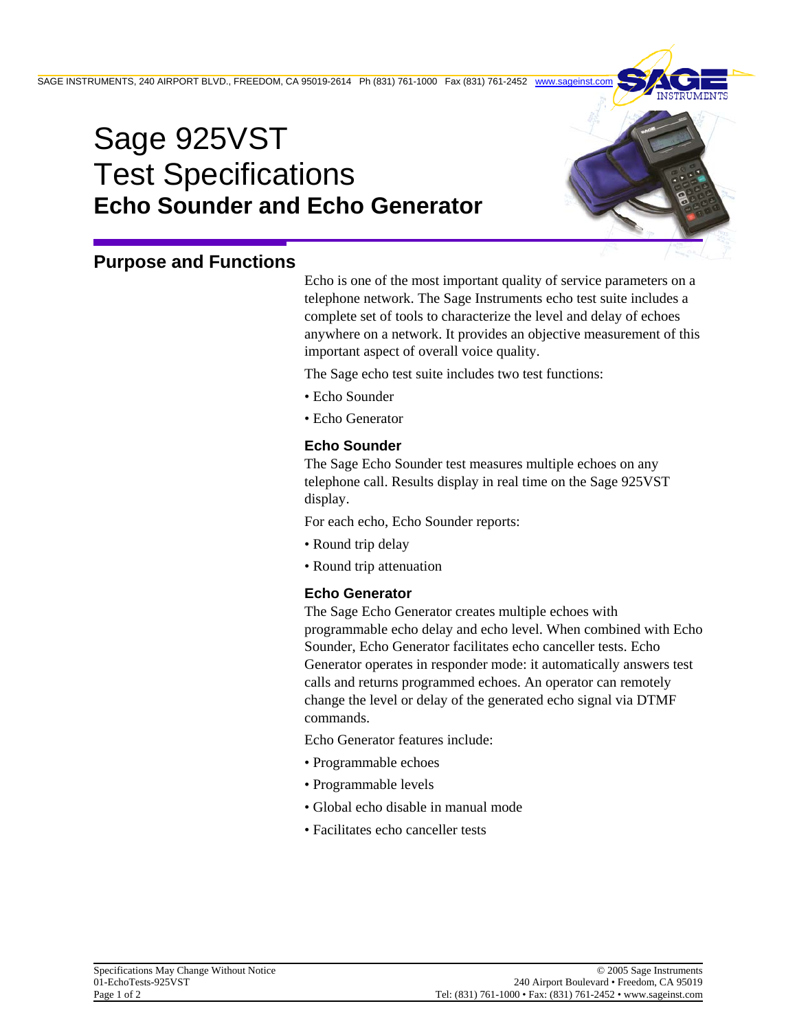

# **Purpose and Functions**

Echo is one of the most important quality of service parameters on a telephone network. The Sage Instruments echo test suite includes a complete set of tools to characterize the level and delay of echoes anywhere on a network. It provides an objective measurement of this important aspect of overall voice quality.

The Sage echo test suite includes two test functions:

- Echo Sounder
- Echo Generator

### **Echo Sounder**

The Sage Echo Sounder test measures multiple echoes on any telephone call. Results display in real time on the Sage 925VST display.

For each echo, Echo Sounder reports:

- Round trip delay
- Round trip attenuation

#### **Echo Generator**

The Sage Echo Generator creates multiple echoes with programmable echo delay and echo level. When combined with Echo Sounder, Echo Generator facilitates echo canceller tests. Echo Generator operates in responder mode: it automatically answers test calls and returns programmed echoes. An operator can remotely change the level or delay of the generated echo signal via DTMF commands.

Echo Generator features include:

- Programmable echoes
- Programmable levels
- Global echo disable in manual mode
- Facilitates echo canceller tests